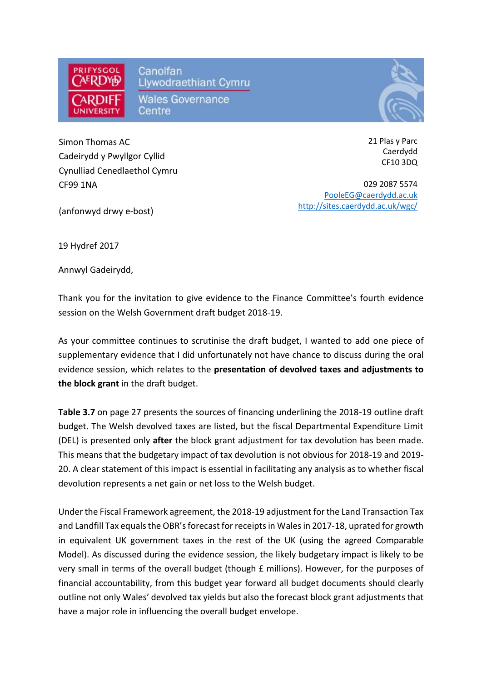

 $\overline{a}$  Simon Thomas AC Cadeirydd y Pwyllgor Cyllid Cynulliad Cenedlaethol Cymru CF99 1NA

21 Plas y Parc Caerdydd CF10 3DQ

029 2087 5574 [PooleEG@caerdydd.ac.uk](mailto:PooleEG@caerdydd.ac.uk) [http://sites.caerdydd.ac.uk/wgc/](http://sites.cardiff.ac.uk/wgc/)

(anfonwyd drwy e-bost)

19 Hydref 2017

Annwyl Gadeirydd,

Thank you for the invitation to give evidence to the Finance Committee's fourth evidence session on the Welsh Government draft budget 2018-19.

As your committee continues to scrutinise the draft budget, I wanted to add one piece of supplementary evidence that I did unfortunately not have chance to discuss during the oral evidence session, which relates to the **presentation of devolved taxes and adjustments to the block grant** in the draft budget.

**Table 3.7** on page 27 presents the sources of financing underlining the 2018-19 outline draft budget. The Welsh devolved taxes are listed, but the fiscal Departmental Expenditure Limit (DEL) is presented only **after** the block grant adjustment for tax devolution has been made. This means that the budgetary impact of tax devolution is not obvious for 2018-19 and 2019- 20. A clear statement of this impact is essential in facilitating any analysis as to whether fiscal devolution represents a net gain or net loss to the Welsh budget.

Under the Fiscal Framework agreement, the 2018-19 adjustment for the Land Transaction Tax and Landfill Tax equals the OBR's forecast for receipts in Wales in 2017-18, uprated for growth in equivalent UK government taxes in the rest of the UK (using the agreed Comparable Model). As discussed during the evidence session, the likely budgetary impact is likely to be very small in terms of the overall budget (though £ millions). However, for the purposes of financial accountability, from this budget year forward all budget documents should clearly outline not only Wales' devolved tax yields but also the forecast block grant adjustments that have a major role in influencing the overall budget envelope.